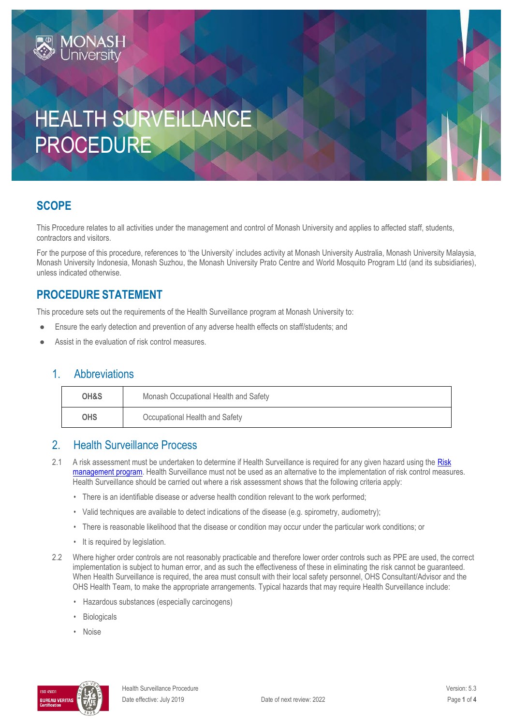# HEALTH SURVEILLANCE PROCEDURE

## **SCOPE**

This Procedure relates to all activities under the management and control of Monash University and applies to affected staff, students, contractors and visitors.

For the purpose of this procedure, references to 'the University' includes activity at Monash University Australia, Monash University Malaysia, Monash University Indonesia, Monash Suzhou, the Monash University Prato Centre and World Mosquito Program Ltd (and its subsidiaries), unless indicated otherwise.

### **PROCEDURE STATEMENT**

**MONASH**<br>University

This procedure sets out the requirements of the Health Surveillance program at Monash University to:

- Ensure the early detection and prevention of any adverse health effects on staff/students; and
- Assist in the evaluation of risk control measures.

#### 1 Abbreviations

| OH&S                                         | Monash Occupational Health and Safety |  |
|----------------------------------------------|---------------------------------------|--|
| <b>OHS</b><br>Occupational Health and Safety |                                       |  |

#### 2. Health Surveillance Process

- 2.1 A risk assessment must be undertaken to determine if Health Surveillance is required for any given hazard using the Risk [management program.](https://www.monash.edu/ohs/info-docs/risk-management-and-work-safe-instructions) Health Surveillance must not be used as an alternative to the implementation of risk control measures. Health Surveillance should be carried out where a risk assessment shows that the following criteria apply:
	- There is an identifiable disease or adverse health condition relevant to the work performed;
	- Valid techniques are available to detect indications of the disease (e.g. spirometry, audiometry);
	- There is reasonable likelihood that the disease or condition may occur under the particular work conditions; or
	- It is required by legislation.
- 2.2 Where higher order controls are not reasonably practicable and therefore lower order controls such as PPE are used, the correct implementation is subject to human error, and as such the effectiveness of these in eliminating the risk cannot be guaranteed. When Health Surveillance is required, the area must consult with their local safety personnel, OHS Consultant/Advisor and the OHS Health Team, to make the appropriate arrangements. Typical hazards that may require Health Surveillance include:
	- Hazardous substances (especially carcinogens)
	- **Biologicals**
	- Noise

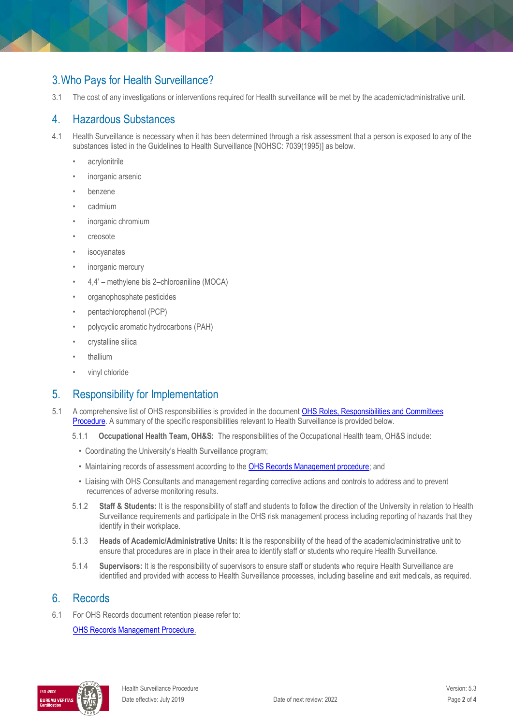## 3.Who Pays for Health Surveillance?

3.1 The cost of any investigations or interventions required for Health surveillance will be met by the academic/administrative unit.

#### 4. Hazardous Substances

- 4.1 Health Surveillance is necessary when it has been determined through a risk assessment that a person is exposed to any of the substances listed in the Guidelines to Health Surveillance [NOHSC: 7039(1995)] as below.
	- acrylonitrile
	- inorganic arsenic
	- benzene
	- cadmium
	- inorganic chromium
	- creosote
	- *isocyanates*
	- inorganic mercury
	- 4,4' methylene bis 2–chloroaniline (MOCA)
	- organophosphate pesticides
	- pentachlorophenol (PCP)
	- polycyclic aromatic hydrocarbons (PAH)
	- crystalline silica
	- thallium
	- vinyl chloride

#### 5. Responsibility for Implementation

- 5.1 A comprehensive list of OHS responsibilities is provided in the document [OHS Roles, Responsibilities and Committees](https://publicpolicydms.monash.edu/Monash/documents/1935644)  [Procedure.](https://publicpolicydms.monash.edu/Monash/documents/1935644) A summary of the specific responsibilities relevant to Health Surveillance is provided below.
	- 5.1.1 **Occupational Health Team, OH&S:** The responsibilities of the Occupational Health team, OH&S include:
		- Coordinating the University's Health Surveillance program;
		- Maintaining records of assessment according to the [OHS Records Management procedure;](https://publicpolicydms.monash.edu/Monash/documents/1935642) and
		- Liaising with OHS Consultants and management regarding corrective actions and controls to address and to prevent recurrences of adverse monitoring results.
	- 5.1.2 **Staff & Students:** It is the responsibility of staff and students to follow the direction of the University in relation to Health Surveillance requirements and participate in the OHS risk management process including reporting of hazards that they identify in their workplace.
	- 5.1.3 **Heads of Academic/Administrative Units:** It is the responsibility of the head of the academic/administrative unit to ensure that procedures are in place in their area to identify staff or students who require Health Surveillance.
	- 5.1.4 **Supervisors:** It is the responsibility of supervisors to ensure staff or students who require Health Surveillance are identified and provided with access to Health Surveillance processes, including baseline and exit medicals, as required.

#### 6. Records

6.1 For OHS Records document retention please refer to:

[OHS Records Management Procedure.](https://publicpolicydms.monash.edu/Monash/documents/1935642)

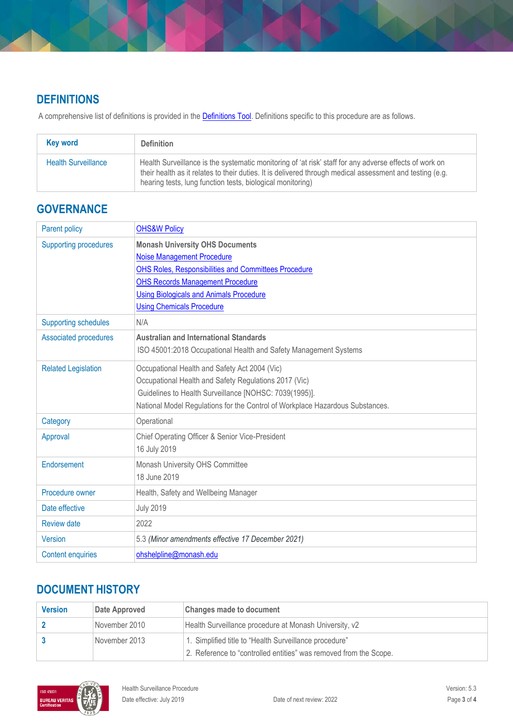# **DEFINITIONS**

A comprehensive list of definitions is provided in the **Definitions Tool**. Definitions specific to this procedure are as follows.

| Key word                   | <b>Definition</b>                                                                                                                                                                                                                                                                |
|----------------------------|----------------------------------------------------------------------------------------------------------------------------------------------------------------------------------------------------------------------------------------------------------------------------------|
| <b>Health Surveillance</b> | Health Surveillance is the systematic monitoring of 'at risk' staff for any adverse effects of work on<br>their health as it relates to their duties. It is delivered through medical assessment and testing (e.g.<br>hearing tests, lung function tests, biological monitoring) |

## **GOVERNANCE**

| <b>Parent policy</b>         | <b>OHS&amp;W Policy</b>                                                       |
|------------------------------|-------------------------------------------------------------------------------|
| <b>Supporting procedures</b> | <b>Monash University OHS Documents</b>                                        |
|                              | <b>Noise Management Procedure</b>                                             |
|                              | <b>OHS Roles, Responsibilities and Committees Procedure</b>                   |
|                              | <b>OHS Records Management Procedure</b>                                       |
|                              | <b>Using Biologicals and Animals Procedure</b>                                |
|                              | <b>Using Chemicals Procedure</b>                                              |
| <b>Supporting schedules</b>  | N/A                                                                           |
| <b>Associated procedures</b> | <b>Australian and International Standards</b>                                 |
|                              | ISO 45001:2018 Occupational Health and Safety Management Systems              |
| <b>Related Legislation</b>   | Occupational Health and Safety Act 2004 (Vic)                                 |
|                              | Occupational Health and Safety Regulations 2017 (Vic)                         |
|                              | Guidelines to Health Surveillance [NOHSC: 7039(1995)].                        |
|                              | National Model Regulations for the Control of Workplace Hazardous Substances. |
| Category                     | Operational                                                                   |
| Approval                     | Chief Operating Officer & Senior Vice-President                               |
|                              | 16 July 2019                                                                  |
| Endorsement                  | Monash University OHS Committee                                               |
|                              | 18 June 2019                                                                  |
| Procedure owner              | Health, Safety and Wellbeing Manager                                          |
| Date effective               | <b>July 2019</b>                                                              |
| <b>Review date</b>           | 2022                                                                          |
| <b>Version</b>               | 5.3 (Minor amendments effective 17 December 2021)                             |
| <b>Content enquiries</b>     | ohshelpline@monash.edu                                                        |

# **DOCUMENT HISTORY**

| <b>Version</b> | Date Approved | <b>Changes made to document</b>                                   |
|----------------|---------------|-------------------------------------------------------------------|
|                | November 2010 | Health Surveillance procedure at Monash University, v2            |
|                | November 2013 | 1. Simplified title to "Health Surveillance procedure"            |
|                |               | 2. Reference to "controlled entities" was removed from the Scope. |